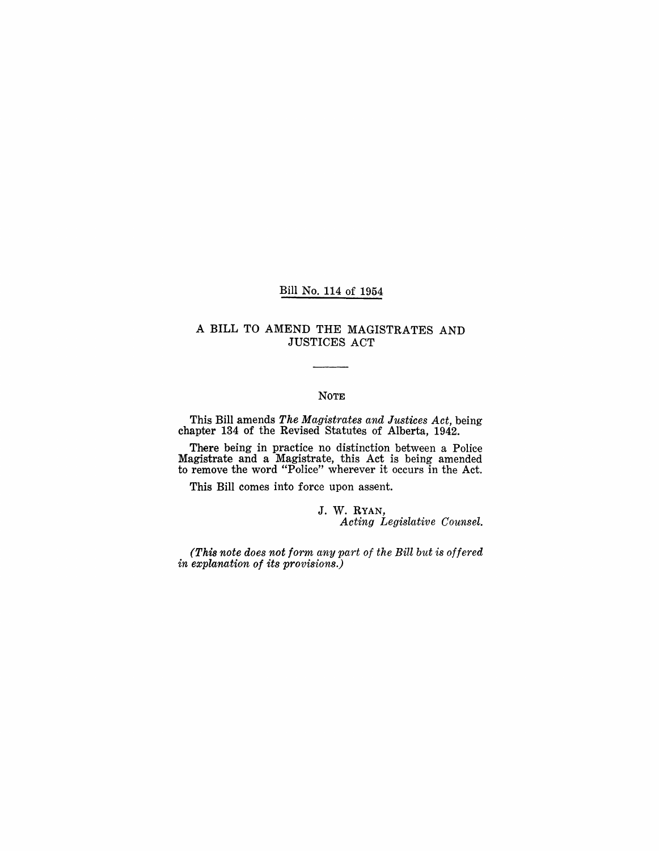#### Bill No. 114 of 1954

## A BILL TO AMEND THE MAGISTRATES AND JUSTICES ACT

### NOTE

This Bill amends *The Magistrates and Justices Act,* being chapter 134 of the Revised Statutes of Alberta, 1942.

There being in practice no distinction between a Police Magistrate and a Magistrate, this Act is being amended to remove the word "Police" wherever it occurs in the Act.

This Bill comes into force upon assent.

J. W. RYAN, *Acting Legislative Counsel.* 

*(This note does not form any part of the Bill but is offered in explanation of its provisions.)*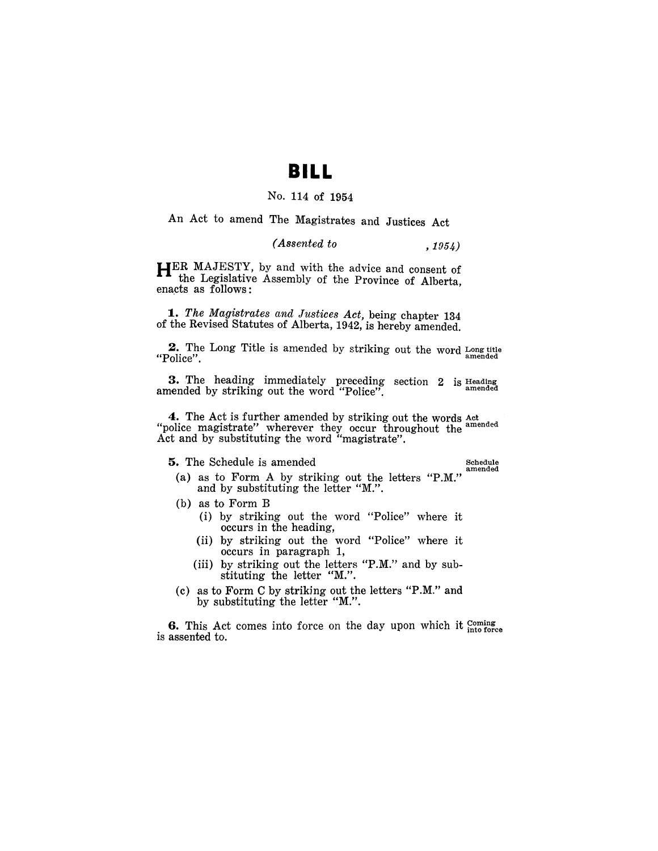# **BILL**

#### No. 114 of 1954

An Act to amend The Magistrates and Justices Act

#### *(Assented to* , 1954)

HER MAJESTY, by and with the advice and consent of the Legislative Assembly of the Province of Alberta, enacts as follows:

*1. The Magistrates and Justices Act,* being chapter 134 of the Revised Statutes of Alberta, 1942, is hereby amended.

2. The Long Title is amended by striking out the word Long title "Police".

3. The heading immediately preceding section 2 amended by striking out the word "Police". is Heading amended

4. The Act is further amended by striking out the words  $Act$  amended "police magistrate" wherever they occur throughout the  $a_{\text{model}}$ Act and by substituting the word "magistrate".

5. The Schedule is amended

amended

- (a) as to Form A by striking out the letters "P.M." and by substituting the letter "M.".
- (b) as to Form B
	- (i) by striking out the word "Police" where it occurs in the heading,
	- (ii) by striking out the word "Police" where it occurs in paragraph 1,
	- (iii) by striking out the letters "P.M." and by substituting the letter "M.".
- (c) as to Form C by strikjng out the letters "P.M." and by substituting the letter "M.".

6. This Act comes into force on the day upon which it  $_{\text{into force}}^{ \text{coming}}$ is assented to.